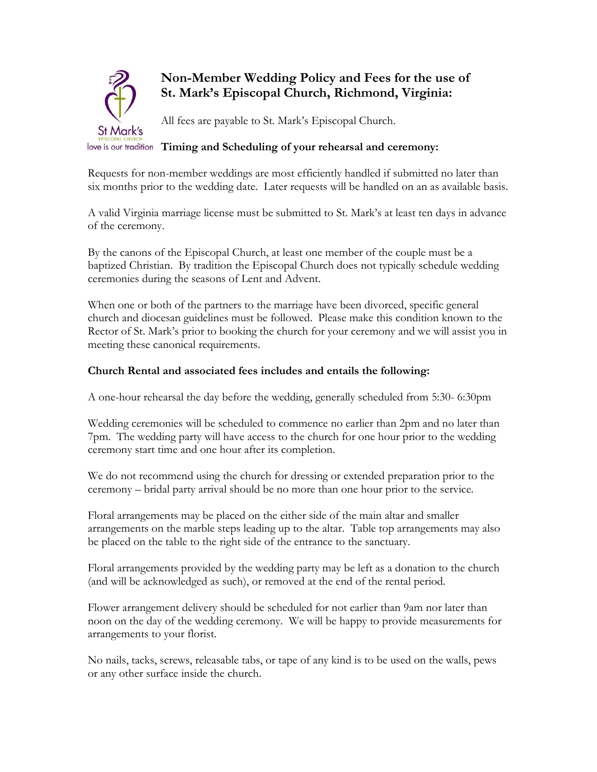

# **Non-Member Wedding Policy and Fees for the use of St. Mark's Episcopal Church, Richmond, Virginia:**

All fees are payable to St. Mark's Episcopal Church.

# **Timing and Scheduling of your rehearsal and ceremony:**

Requests for non-member weddings are most efficiently handled if submitted no later than six months prior to the wedding date. Later requests will be handled on an as available basis.

A valid Virginia marriage license must be submitted to St. Mark's at least ten days in advance of the ceremony.

By the canons of the Episcopal Church, at least one member of the couple must be a baptized Christian. By tradition the Episcopal Church does not typically schedule wedding ceremonies during the seasons of Lent and Advent.

When one or both of the partners to the marriage have been divorced, specific general church and diocesan guidelines must be followed. Please make this condition known to the Rector of St. Mark's prior to booking the church for your ceremony and we will assist you in meeting these canonical requirements.

## **Church Rental and associated fees includes and entails the following:**

A one-hour rehearsal the day before the wedding, generally scheduled from 5:30- 6:30pm

Wedding ceremonies will be scheduled to commence no earlier than 2pm and no later than 7pm. The wedding party will have access to the church for one hour prior to the wedding ceremony start time and one hour after its completion.

We do not recommend using the church for dressing or extended preparation prior to the ceremony – bridal party arrival should be no more than one hour prior to the service.

Floral arrangements may be placed on the either side of the main altar and smaller arrangements on the marble steps leading up to the altar. Table top arrangements may also be placed on the table to the right side of the entrance to the sanctuary.

Floral arrangements provided by the wedding party may be left as a donation to the church (and will be acknowledged as such), or removed at the end of the rental period.

Flower arrangement delivery should be scheduled for not earlier than 9am nor later than noon on the day of the wedding ceremony. We will be happy to provide measurements for arrangements to your florist.

No nails, tacks, screws, releasable tabs, or tape of any kind is to be used on the walls, pews or any other surface inside the church.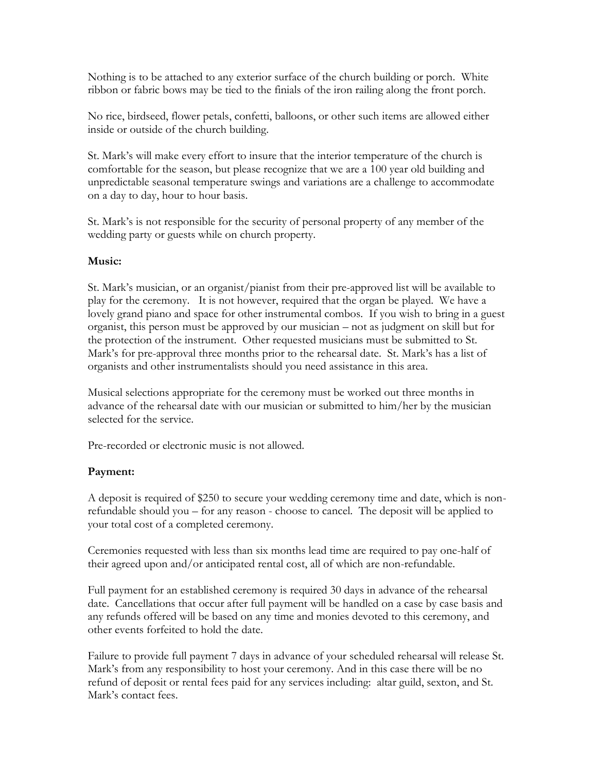Nothing is to be attached to any exterior surface of the church building or porch. White ribbon or fabric bows may be tied to the finials of the iron railing along the front porch.

No rice, birdseed, flower petals, confetti, balloons, or other such items are allowed either inside or outside of the church building.

St. Mark's will make every effort to insure that the interior temperature of the church is comfortable for the season, but please recognize that we are a 100 year old building and unpredictable seasonal temperature swings and variations are a challenge to accommodate on a day to day, hour to hour basis.

St. Mark's is not responsible for the security of personal property of any member of the wedding party or guests while on church property.

### **Music:**

St. Mark's musician, or an organist/pianist from their pre-approved list will be available to play for the ceremony. It is not however, required that the organ be played. We have a lovely grand piano and space for other instrumental combos. If you wish to bring in a guest organist, this person must be approved by our musician – not as judgment on skill but for the protection of the instrument. Other requested musicians must be submitted to St. Mark's for pre-approval three months prior to the rehearsal date. St. Mark's has a list of organists and other instrumentalists should you need assistance in this area.

Musical selections appropriate for the ceremony must be worked out three months in advance of the rehearsal date with our musician or submitted to him/her by the musician selected for the service.

Pre-recorded or electronic music is not allowed.

### **Payment:**

A deposit is required of \$250 to secure your wedding ceremony time and date, which is nonrefundable should you – for any reason - choose to cancel. The deposit will be applied to your total cost of a completed ceremony.

Ceremonies requested with less than six months lead time are required to pay one-half of their agreed upon and/or anticipated rental cost, all of which are non-refundable.

Full payment for an established ceremony is required 30 days in advance of the rehearsal date. Cancellations that occur after full payment will be handled on a case by case basis and any refunds offered will be based on any time and monies devoted to this ceremony, and other events forfeited to hold the date.

Failure to provide full payment 7 days in advance of your scheduled rehearsal will release St. Mark's from any responsibility to host your ceremony. And in this case there will be no refund of deposit or rental fees paid for any services including: altar guild, sexton, and St. Mark's contact fees.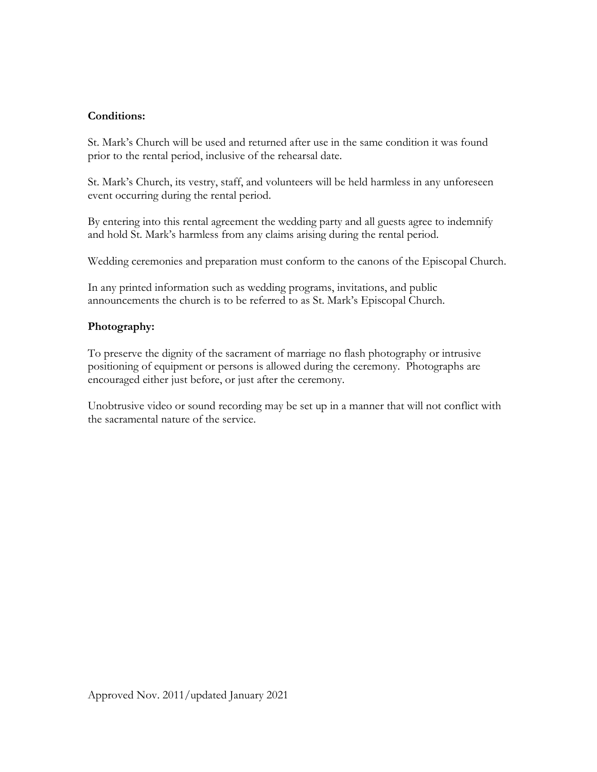## **Conditions:**

St. Mark's Church will be used and returned after use in the same condition it was found prior to the rental period, inclusive of the rehearsal date.

St. Mark's Church, its vestry, staff, and volunteers will be held harmless in any unforeseen event occurring during the rental period.

By entering into this rental agreement the wedding party and all guests agree to indemnify and hold St. Mark's harmless from any claims arising during the rental period.

Wedding ceremonies and preparation must conform to the canons of the Episcopal Church.

In any printed information such as wedding programs, invitations, and public announcements the church is to be referred to as St. Mark's Episcopal Church.

### **Photography:**

To preserve the dignity of the sacrament of marriage no flash photography or intrusive positioning of equipment or persons is allowed during the ceremony. Photographs are encouraged either just before, or just after the ceremony.

Unobtrusive video or sound recording may be set up in a manner that will not conflict with the sacramental nature of the service.